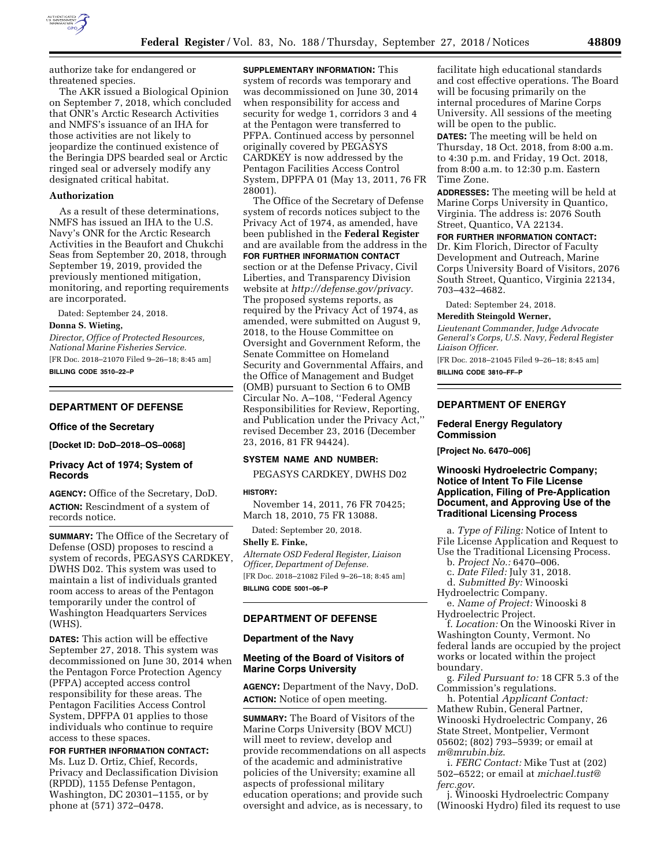

authorize take for endangered or threatened species.

The AKR issued a Biological Opinion on September 7, 2018, which concluded that ONR's Arctic Research Activities and NMFS's issuance of an IHA for those activities are not likely to jeopardize the continued existence of the Beringia DPS bearded seal or Arctic ringed seal or adversely modify any designated critical habitat.

### **Authorization**

As a result of these determinations, NMFS has issued an IHA to the U.S. Navy's ONR for the Arctic Research Activities in the Beaufort and Chukchi Seas from September 20, 2018, through September 19, 2019, provided the previously mentioned mitigation, monitoring, and reporting requirements are incorporated.

Dated: September 24, 2018.

#### **Donna S. Wieting,**

*Director, Office of Protected Resources, National Marine Fisheries Service.*  [FR Doc. 2018–21070 Filed 9–26–18; 8:45 am] **BILLING CODE 3510–22–P** 

### **DEPARTMENT OF DEFENSE**

#### **Office of the Secretary**

**[Docket ID: DoD–2018–OS–0068]** 

## **Privacy Act of 1974; System of Records**

**AGENCY:** Office of the Secretary, DoD. **ACTION:** Rescindment of a system of records notice.

**SUMMARY:** The Office of the Secretary of Defense (OSD) proposes to rescind a system of records, PEGASYS CARDKEY, DWHS D02. This system was used to maintain a list of individuals granted room access to areas of the Pentagon temporarily under the control of Washington Headquarters Services (WHS).

**DATES:** This action will be effective September 27, 2018. This system was decommissioned on June 30, 2014 when the Pentagon Force Protection Agency (PFPA) accepted access control responsibility for these areas. The Pentagon Facilities Access Control System, DPFPA 01 applies to those individuals who continue to require access to these spaces.

**FOR FURTHER INFORMATION CONTACT:**  Ms. Luz D. Ortiz, Chief, Records, Privacy and Declassification Division (RPDD), 1155 Defense Pentagon, Washington, DC 20301–1155, or by phone at (571) 372–0478.

**SUPPLEMENTARY INFORMATION:** This system of records was temporary and was decommissioned on June 30, 2014 when responsibility for access and security for wedge 1, corridors 3 and 4 at the Pentagon were transferred to PFPA. Continued access by personnel originally covered by PEGASYS CARDKEY is now addressed by the Pentagon Facilities Access Control System, DPFPA 01 (May 13, 2011, 76 FR 28001).

The Office of the Secretary of Defense system of records notices subject to the Privacy Act of 1974, as amended, have been published in the **Federal Register**  and are available from the address in the **FOR FURTHER INFORMATION CONTACT** section or at the Defense Privacy, Civil Liberties, and Transparency Division website at *[http://defense.gov/privacy.](http://defense.gov/privacy)*  The proposed systems reports, as required by the Privacy Act of 1974, as amended, were submitted on August 9, 2018, to the House Committee on Oversight and Government Reform, the Senate Committee on Homeland Security and Governmental Affairs, and the Office of Management and Budget (OMB) pursuant to Section 6 to OMB Circular No. A–108, ''Federal Agency Responsibilities for Review, Reporting, and Publication under the Privacy Act,'' revised December 23, 2016 (December 23, 2016, 81 FR 94424).

#### **SYSTEM NAME AND NUMBER:**

PEGASYS CARDKEY, DWHS D02

#### **HISTORY:**

November 14, 2011, 76 FR 70425; March 18, 2010, 75 FR 13088.

Dated: September 20, 2018.

#### **Shelly E. Finke,**

*Alternate OSD Federal Register, Liaison Officer, Department of Defense.*  [FR Doc. 2018–21082 Filed 9–26–18; 8:45 am] **BILLING CODE 5001–06–P** 

### **DEPARTMENT OF DEFENSE**

#### **Department of the Navy**

### **Meeting of the Board of Visitors of Marine Corps University**

**AGENCY:** Department of the Navy, DoD. **ACTION:** Notice of open meeting.

**SUMMARY:** The Board of Visitors of the Marine Corps University (BOV MCU) will meet to review, develop and provide recommendations on all aspects of the academic and administrative policies of the University; examine all aspects of professional military education operations; and provide such oversight and advice, as is necessary, to

facilitate high educational standards and cost effective operations. The Board will be focusing primarily on the internal procedures of Marine Corps University. All sessions of the meeting will be open to the public.

**DATES:** The meeting will be held on Thursday, 18 Oct. 2018, from 8:00 a.m. to 4:30 p.m. and Friday, 19 Oct. 2018, from 8:00 a.m. to 12:30 p.m. Eastern Time Zone.

**ADDRESSES:** The meeting will be held at Marine Corps University in Quantico, Virginia. The address is: 2076 South Street, Quantico, VA 22134.

### **FOR FURTHER INFORMATION CONTACT:**

Dr. Kim Florich, Director of Faculty Development and Outreach, Marine Corps University Board of Visitors, 2076 South Street, Quantico, Virginia 22134, 703–432–4682.

Dated: September 24, 2018.

## **Meredith Steingold Werner,**

*Lieutenant Commander, Judge Advocate General's Corps, U.S. Navy, Federal Register Liaison Officer.* 

[FR Doc. 2018–21045 Filed 9–26–18; 8:45 am] **BILLING CODE 3810–FF–P** 

## **DEPARTMENT OF ENERGY**

### **Federal Energy Regulatory Commission**

**[Project No. 6470–006]** 

### **Winooski Hydroelectric Company; Notice of Intent To File License Application, Filing of Pre-Application Document, and Approving Use of the Traditional Licensing Process**

a. *Type of Filing:* Notice of Intent to File License Application and Request to Use the Traditional Licensing Process.

b. *Project No.:* 6470–006.

c. *Date Filed:* July 31, 2018.

d. *Submitted By:* Winooski

Hydroelectric Company. e. *Name of Project:* Winooski 8 Hydroelectric Project.

f. *Location:* On the Winooski River in Washington County, Vermont. No federal lands are occupied by the project

works or located within the project boundary.

g. *Filed Pursuant to:* 18 CFR 5.3 of the Commission's regulations.

h. Potential *Applicant Contact:*  Mathew Rubin, General Partner, Winooski Hydroelectric Company, 26 State Street, Montpelier, Vermont 05602; (802) 793–5939; or email at *[m@mrubin.biz](mailto:m@mrubin.biz)*.

i. *FERC Contact:* Mike Tust at (202) 502–6522; or email at *[michael.tust@](mailto:michael.tust@ferc.gov) [ferc.gov](mailto:michael.tust@ferc.gov)*.

j. Winooski Hydroelectric Company (Winooski Hydro) filed its request to use